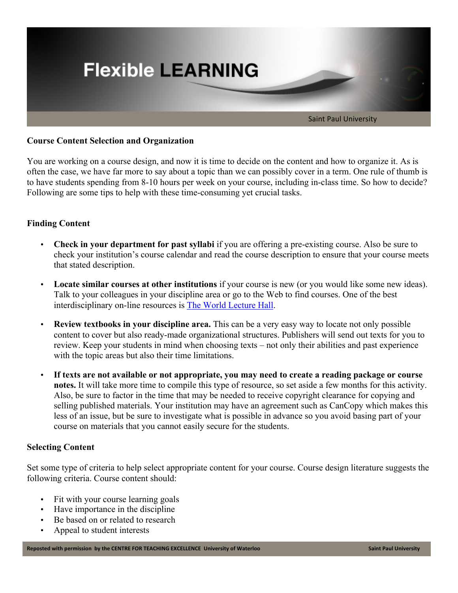

## **Course Content Selection and Organization**

You are working on a course design, and now it is time to decide on the content and how to organize it. As is often the case, we have far more to say about a topic than we can possibly cover in a term. One rule of thumb is to have students spending from 8-10 hours per week on your course, including in-class time. So how to decide? Following are some tips to help with these time-consuming yet crucial tasks.

# **Finding Content**

- **Check in your department for past syllabi** if you are offering a pre-existing course. Also be sure to check your institution's course calendar and read the course description to ensure that your course meets that stated description.
- **Locate similar courses at other institutions** if your course is new (or you would like some new ideas). Talk to your colleagues in your discipline area or go to the Web to find courses. One of the best interdisciplinary on-line resources is The World Lecture Hall.
- **Review textbooks in your discipline area.** This can be a very easy way to locate not only possible content to cover but also ready-made organizational structures. Publishers will send out texts for you to review. Keep your students in mind when choosing texts – not only their abilities and past experience with the topic areas but also their time limitations.
- **If texts are not available or not appropriate, you may need to create a reading package or course notes.** It will take more time to compile this type of resource, so set aside a few months for this activity. Also, be sure to factor in the time that may be needed to receive copyright clearance for copying and selling published materials. Your institution may have an agreement such as CanCopy which makes this less of an issue, but be sure to investigate what is possible in advance so you avoid basing part of your course on materials that you cannot easily secure for the students.

### **Selecting Content**

Set some type of criteria to help select appropriate content for your course. Course design literature suggests the following criteria. Course content should:

- Fit with your course learning goals
- Have importance in the discipline
- Be based on or related to research
- Appeal to student interests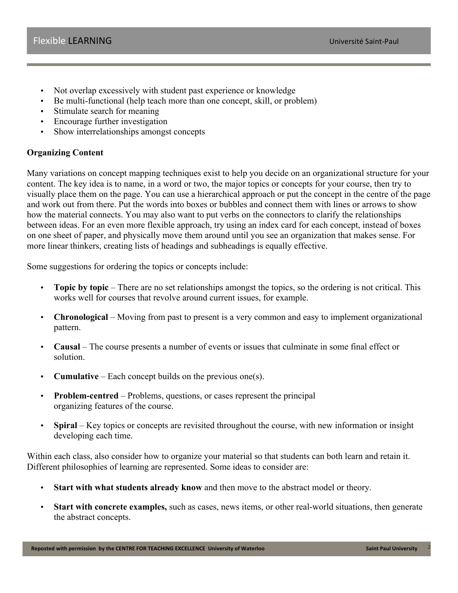- Not overlap excessively with student past experience or knowledge
- Be multi-functional (help teach more than one concept, skill, or problem)
- Stimulate search for meaning
- Encourage further investigation
- Show interrelationships amongst concepts

# **Organizing Content**

Many variations on concept mapping techniques exist to help you decide on an organizational structure for your content. The key idea is to name, in a word or two, the major topics or concepts for your course, then try to visually place them on the page. You can use a hierarchical approach or put the concept in the centre of the page and work out from there. Put the words into boxes or bubbles and connect them with lines or arrows to show how the material connects. You may also want to put verbs on the connectors to clarify the relationships between ideas. For an even more flexible approach, try using an index card for each concept, instead of boxes on one sheet of paper, and physically move them around until you see an organization that makes sense. For more linear thinkers, creating lists of headings and subheadings is equally effective.

Some suggestions for ordering the topics or concepts include:

- **Topic by topic** There are no set relationships amongst the topics, so the ordering is not critical. This works well for courses that revolve around current issues, for example.
- **Chronological** Moving from past to present is a very common and easy to implement organizational pattern.
- **Causal** The course presents a number of events or issues that culminate in some final effect or solution.
- **Cumulative** Each concept builds on the previous one(s).
- **Problem-centred**  Problems, questions, or cases represent the principal organizing features of the course.
- **Spiral** Key topics or concepts are revisited throughout the course, with new information or insight developing each time.

Within each class, also consider how to organize your material so that students can both learn and retain it. Different philosophies of learning are represented. Some ideas to consider are:

- **Start with what students already know** and then move to the abstract model or theory.
- **Start with concrete examples,** such as cases, news items, or other real-world situations, then generate the abstract concepts.